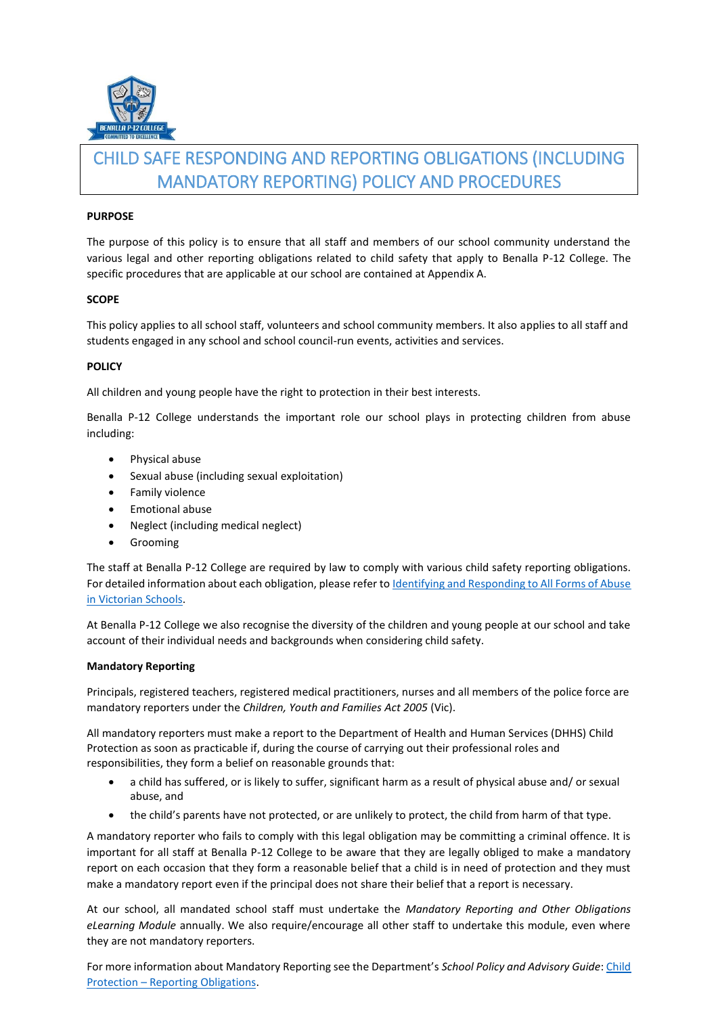

# CHILD SAFE RESPONDING AND REPORTING OBLIGATIONS (INCLUDING MANDATORY REPORTING) POLICY AND PROCEDURES

## **PURPOSE**

The purpose of this policy is to ensure that all staff and members of our school community understand the various legal and other reporting obligations related to child safety that apply to Benalla P-12 College. The specific procedures that are applicable at our school are contained at Appendix A.

# **SCOPE**

This policy applies to all school staff, volunteers and school community members. It also applies to all staff and students engaged in any school and school council-run events, activities and services.

# **POLICY**

All children and young people have the right to protection in their best interests.

Benalla P-12 College understands the important role our school plays in protecting children from abuse including:

- Physical abuse
- Sexual abuse (including sexual exploitation)
- **•** Family violence
- Emotional abuse
- Neglect (including medical neglect)
- **•** Grooming

The staff at Benalla P-12 College are required by law to comply with various child safety reporting obligations. For detailed information about each obligation, please refer to Identifying [and Responding to All Forms of Abuse](https://www.education.vic.gov.au/Documents/about/programs/health/protect/ChildSafeStandard5_SchoolsGuide.pdf)  [in Victorian Schools.](https://www.education.vic.gov.au/Documents/about/programs/health/protect/ChildSafeStandard5_SchoolsGuide.pdf) 

At Benalla P-12 College we also recognise the diversity of the children and young people at our school and take account of their individual needs and backgrounds when considering child safety.

## **Mandatory Reporting**

Principals, registered teachers, registered medical practitioners, nurses and all members of the police force are mandatory reporters under the *Children, Youth and Families Act 2005* (Vic).

All mandatory reporters must make a report to the Department of Health and Human Services (DHHS) Child Protection as soon as practicable if, during the course of carrying out their professional roles and responsibilities, they form a belief on reasonable grounds that:

- a child has suffered, or is likely to suffer, significant harm as a result of physical abuse and/ or sexual abuse, and
- the child's parents have not protected, or are unlikely to protect, the child from harm of that type.

A mandatory reporter who fails to comply with this legal obligation may be committing a criminal offence. It is important for all staff at Benalla P-12 College to be aware that they are legally obliged to make a mandatory report on each occasion that they form a reasonable belief that a child is in need of protection and they must make a mandatory report even if the principal does not share their belief that a report is necessary.

At our school, all mandated school staff must undertake the *Mandatory Reporting and Other Obligations eLearning Module* annually. We also require/encourage all other staff to undertake this module, even where they are not mandatory reporters.

For more information about Mandatory Reporting see the Department's *School Policy and Advisory Guide*: [Child](http://www.education.vic.gov.au/school/principals/spag/safety/Pages/childprotectobligation.aspx)  Protection – [Reporting Obligations.](http://www.education.vic.gov.au/school/principals/spag/safety/Pages/childprotectobligation.aspx)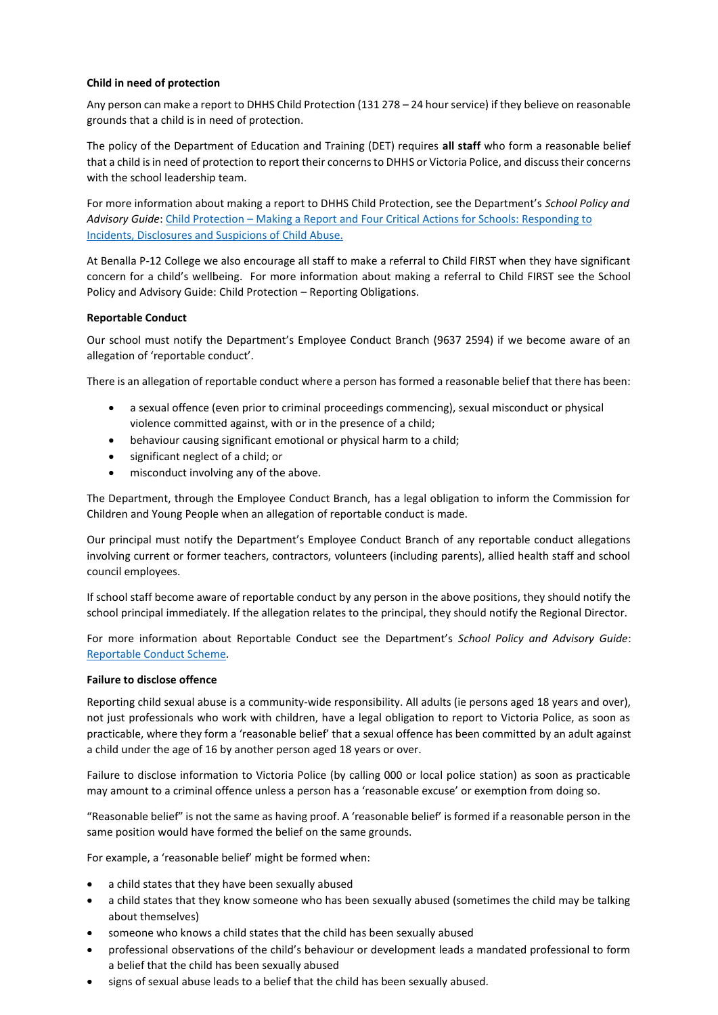# **Child in need of protection**

Any person can make a report to DHHS Child Protection (131 278 – 24 hour service) if they believe on reasonable grounds that a child is in need of protection.

The policy of the Department of Education and Training (DET) requires **all staff** who form a reasonable belief that a child is in need of protection to report their concerns to DHHS or Victoria Police, and discuss their concerns with the school leadership team.

For more information about making a report to DHHS Child Protection, see the Department's *School Policy and Advisory Guide*[: Child Protection](http://www.education.vic.gov.au/school/principals/spag/safety/Pages/childprotectreporting.aspx) – Making a Report an[d Four Critical Actions for Schools: Responding to](https://www.education.vic.gov.au/Documents/about/programs/health/protect/FourCriticalActions_ChildAbuse.pdf)  [Incidents, Disclosures and Suspicions of Child Abuse.](https://www.education.vic.gov.au/Documents/about/programs/health/protect/FourCriticalActions_ChildAbuse.pdf)

At Benalla P-12 College we also encourage all staff to make a referral to Child FIRST when they have significant concern for a child's wellbeing. For more information about making a referral to Child FIRST see the School Policy and Advisory Guide: Child Protection – [Reporting Obligations.](https://www.education.vic.gov.au/school/principals/spag/safety/Pages/childprotectobligation.aspx)

## **Reportable Conduct**

Our school must notify the Department's Employee Conduct Branch (9637 2594) if we become aware of an allegation of 'reportable conduct'.

There is an allegation of reportable conduct where a person has formed a reasonable belief that there has been:

- a sexual offence (even prior to criminal proceedings commencing), sexual misconduct or physical violence committed against, with or in the presence of a child;
- behaviour causing significant emotional or physical harm to a child;
- significant neglect of a child; or
- misconduct involving any of the above.

The Department, through the Employee Conduct Branch, has a legal obligation to inform the Commission for Children and Young People when an allegation of reportable conduct is made.

Our principal must notify the Department's Employee Conduct Branch of any reportable conduct allegations involving current or former teachers, contractors, volunteers (including parents), allied health staff and school council employees.

If school staff become aware of reportable conduct by any person in the above positions, they should notify the school principal immediately. If the allegation relates to the principal, they should notify the Regional Director.

For more information about Reportable Conduct see the Department's *School Policy and Advisory Guide*: [Reportable Conduct Scheme.](http://www.education.vic.gov.au/school/principals/spag/safety/Pages/reportableconductscheme.aspx) 

#### **Failure to disclose offence**

Reporting child sexual abuse is a community-wide responsibility. All adults (ie persons aged 18 years and over), not just professionals who work with children, have a legal obligation to report to Victoria Police, as soon as practicable, where they form a 'reasonable belief' that a sexual offence has been committed by an adult against a child under the age of 16 by another person aged 18 years or over.

Failure to disclose information to Victoria Police (by calling 000 or local police station) as soon as practicable may amount to a criminal offence unless a person has a 'reasonable excuse' or exemption from doing so.

"Reasonable belief" is not the same as having proof. A 'reasonable belief' is formed if a reasonable person in the same position would have formed the belief on the same grounds.

For example, a 'reasonable belief' might be formed when:

- a child states that they have been sexually abused
- a child states that they know someone who has been sexually abused (sometimes the child may be talking about themselves)
- someone who knows a child states that the child has been sexually abused
- professional observations of the child's behaviour or development leads a mandated professional to form a belief that the child has been sexually abused
- signs of sexual abuse leads to a belief that the child has been sexually abused.